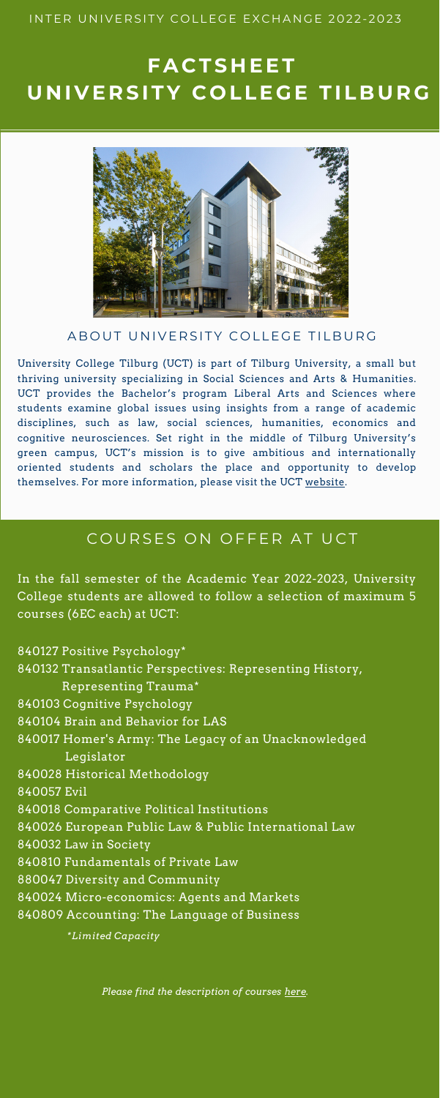*Please find the description of courses [here.](https://uvt.osiris-student.nl/#/onderwijscatalogus/extern/start)*

In the fall semester of the Academic Year 2022-2023, University College students are allowed to follow a selection of maximum 5 courses (6EC each) at UCT:

840127 Positive Psychology\*

840132 Transatlantic Perspectives: Representing History, Representing Trauma\* 840103 Cognitive Psychology 840104 Brain and Behavior for LAS 840017 Homer's Army: The Legacy of an Unacknowledged Legislator 840028 Historical Methodology 840057 Evil 840018 Comparative Political Institutions 840026 European Public Law & Public International Law 840032 Law in Society 840810 Fundamentals of Private Law 880047 Diversity and Community 840024 Micro-economics: Agents and Markets 840809 Accounting: The Language of Business

University College Tilburg (UCT) is part of Tilburg University, a small but thriving university specializing in Social Sciences and Arts & Humanities. UCT provides the Bachelor's program Liberal Arts and Sciences where students examine global issues using insights from a range of academic disciplines, such as law, social sciences, humanities, economics and cognitive neurosciences. Set right in the middle of Tilburg University's green campus, UCT's mission is to give ambitious and internationally [oriented students and scholars the place and opportunity to develop](http://www.tilburguniversity.edu/about/schools/university-college-tilburg) themselves. For more information, please visit the [UCT website.](http://www.tilburguniversity.edu/about/schools/university-college-tilburg)

### COURSES ON OFFER AT UCT

### INTER UNIVERSITY COLLEGE EXCHANGE 2022-2023

# **F A C T S H E E T U N I V E R S I T Y C O L L E G E T I L B U R G**



### A B OUT UNIVERSITY COLLEGE TILBURG

*\*Limited Capacity*